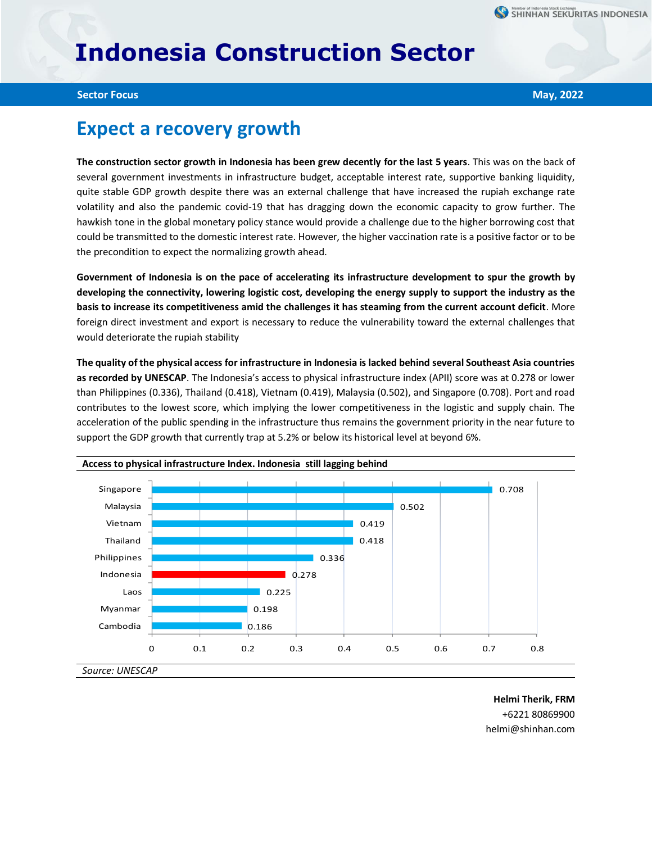## **Indonesia Construction Sector**

**Sector Focus May, 2022**

## **Expect a recovery growth**

**The construction sector growth in Indonesia has been grew decently for the last 5 years**. This was on the back of several government investments in infrastructure budget, acceptable interest rate, supportive banking liquidity, quite stable GDP growth despite there was an external challenge that have increased the rupiah exchange rate volatility and also the pandemic covid-19 that has dragging down the economic capacity to grow further. The hawkish tone in the global monetary policy stance would provide a challenge due to the higher borrowing cost that could be transmitted to the domestic interest rate. However, the higher vaccination rate is a positive factor or to be the precondition to expect the normalizing growth ahead.

**Government of Indonesia is on the pace of accelerating its infrastructure development to spur the growth by developing the connectivity, lowering logistic cost, developing the energy supply to support the industry as the basis to increase its competitiveness amid the challenges it has steaming from the current account deficit**. More foreign direct investment and export is necessary to reduce the vulnerability toward the external challenges that would deteriorate the rupiah stability

**The quality of the physical access for infrastructure in Indonesia is lacked behind several Southeast Asia countries as recorded by UNESCAP**. The Indonesia's access to physical infrastructure index (APII) score was at 0.278 or lower than Philippines (0.336), Thailand (0.418), Vietnam (0.419), Malaysia (0.502), and Singapore (0.708). Port and road contributes to the lowest score, which implying the lower competitiveness in the logistic and supply chain. The acceleration of the public spending in the infrastructure thus remains the government priority in the near future to support the GDP growth that currently trap at 5.2% or below its historical level at beyond 6%.





**Helmi Therik, FRM** +6221 80869900 helmi@shinhan.com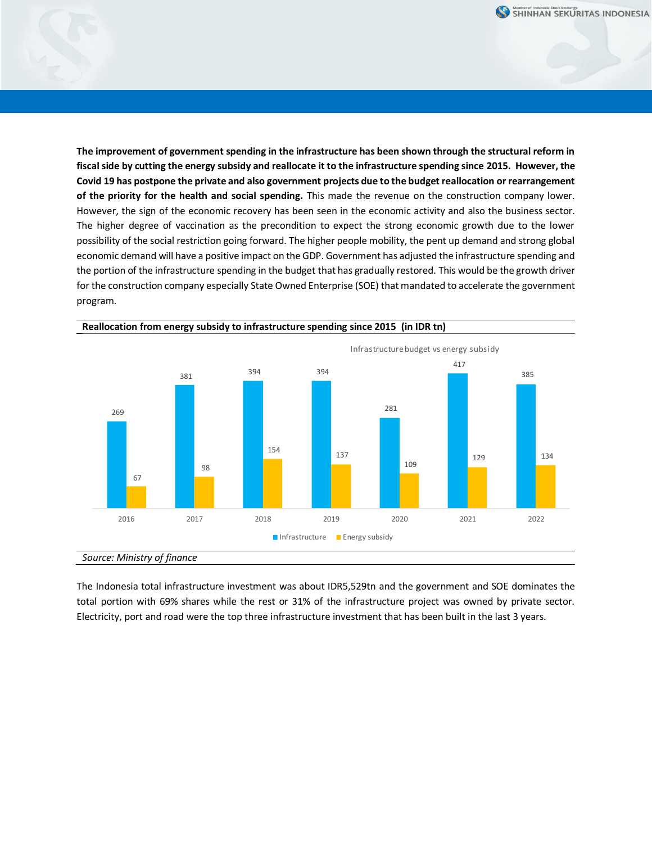**The improvement of government spending in the infrastructure has been shown through the structural reform in fiscal side by cutting the energy subsidy and reallocate it to the infrastructure spending since 2015. However, the Covid 19 has postpone the private and also government projects due to the budget reallocation or rearrangement of the priority for the health and social spending.** This made the revenue on the construction company lower. However, the sign of the economic recovery has been seen in the economic activity and also the business sector. The higher degree of vaccination as the precondition to expect the strong economic growth due to the lower possibility of the social restriction going forward. The higher people mobility, the pent up demand and strong global economic demand will have a positive impact on the GDP. Government has adjusted the infrastructure spending and the portion of the infrastructure spending in the budget that has gradually restored. This would be the growth driver for the construction company especially State Owned Enterprise (SOE) that mandated to accelerate the government program.



**Reallocation from energy subsidy to infrastructure spending since 2015 (in IDR tn)**

The Indonesia total infrastructure investment was about IDR5,529tn and the government and SOE dominates the total portion with 69% shares while the rest or 31% of the infrastructure project was owned by private sector. Electricity, port and road were the top three infrastructure investment that has been built in the last 3 years.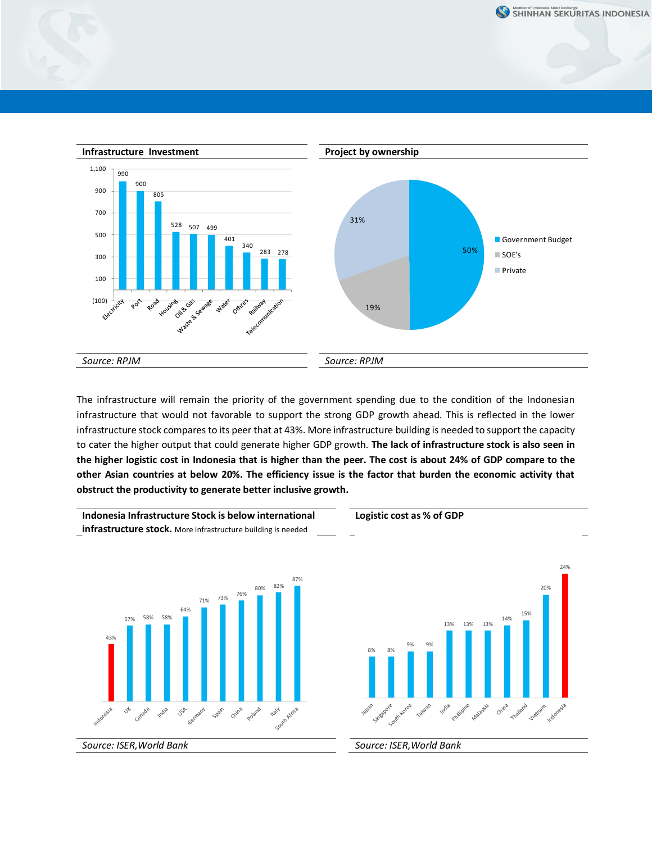



The infrastructure will remain the priority of the government spending due to the condition of the Indonesian infrastructure that would not favorable to support the strong GDP growth ahead. This is reflected in the lower infrastructure stock compares to its peer that at 43%. More infrastructure building is needed to support the capacity to cater the higher output that could generate higher GDP growth. **The lack of infrastructure stock is also seen in the higher logistic cost in Indonesia that is higher than the peer. The cost is about 24% of GDP compare to the other Asian countries at below 20%. The efficiency issue is the factor that burden the economic activity that obstruct the productivity to generate better inclusive growth.** 

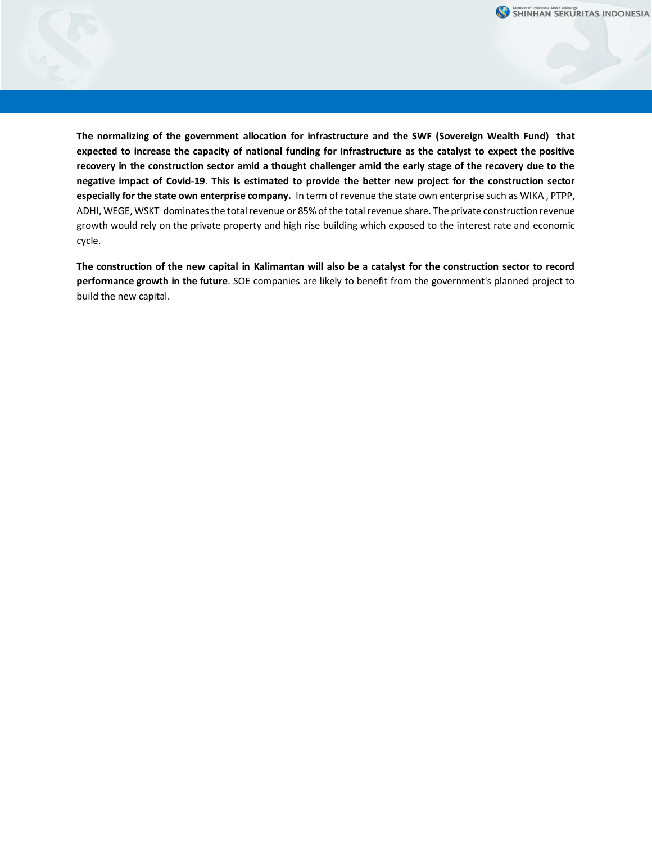

**The normalizing of the government allocation for infrastructure and the SWF (Sovereign Wealth Fund) that expected to increase the capacity of national funding for Infrastructure as the catalyst to expect the positive recovery in the construction sector amid a thought challenger amid the early stage of the recovery due to the negative impact of Covid-19**. **This is estimated to provide the better new project for the construction sector especially for the state own enterprise company.** In term of revenue the state own enterprise such as WIKA , PTPP, ADHI, WEGE, WSKT dominates the total revenue or 85% of the total revenue share. The private construction revenue growth would rely on the private property and high rise building which exposed to the interest rate and economic cycle.

**The construction of the new capital in Kalimantan will also be a catalyst for the construction sector to record performance growth in the future**. SOE companies are likely to benefit from the government's planned project to build the new capital.